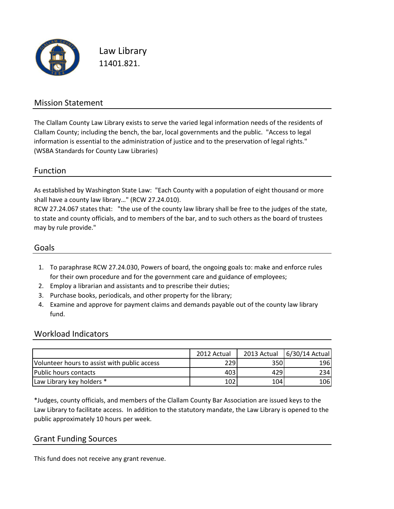

Law Library 11401.821.

#### Mission Statement

The Clallam County Law Library exists to serve the varied legal information needs of the residents of Clallam County; including the bench, the bar, local governments and the public. "Access to legal information is essential to the administration of justice and to the preservation of legal rights." (WSBA Standards for County Law Libraries)

#### Function

As established by Washington State Law: "Each County with a population of eight thousand or more shall have a county law library…" (RCW 27.24.010).

RCW 27.24.067 states that: "the use of the county law library shall be free to the judges of the state, to state and county officials, and to members of the bar, and to such others as the board of trustees may by rule provide."

#### Goals

- 1. To paraphrase RCW 27.24.030, Powers of board, the ongoing goals to: make and enforce rules for their own procedure and for the government care and guidance of employees;
- 2. Employ a librarian and assistants and to prescribe their duties;
- 3. Purchase books, periodicals, and other property for the library;
- 4. Examine and approve for payment claims and demands payable out of the county law library fund.

#### Workload Indicators

|                                              | 2012 Actual | 2013 Actual | 6/30/14 Actual |
|----------------------------------------------|-------------|-------------|----------------|
| Volunteer hours to assist with public access | 2291        | 350         | 196            |
| Public hours contacts                        | 403         | 429         | 234            |
| Law Library key holders *                    | 102         | 104         | 106            |

\*Judges, county officials, and members of the Clallam County Bar Association are issued keys to the Law Library to facilitate access. In addition to the statutory mandate, the Law Library is opened to the public approximately 10 hours per week.

#### Grant Funding Sources

This fund does not receive any grant revenue.